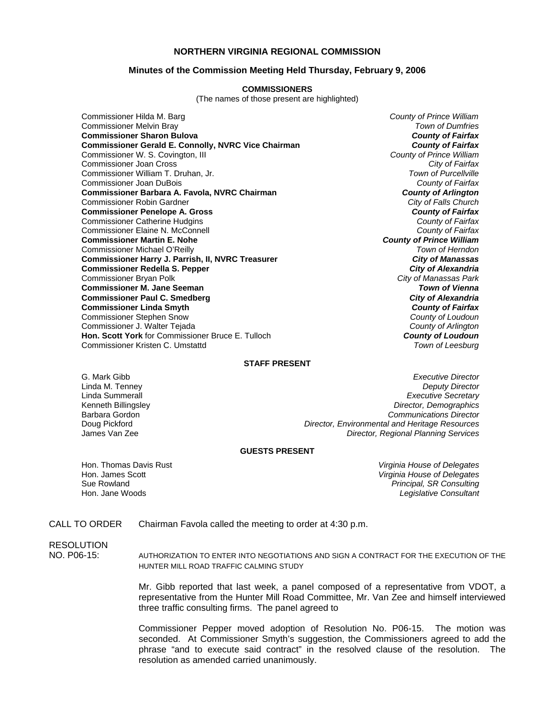## **NORTHERN VIRGINIA REGIONAL COMMISSION**

#### **Minutes of the Commission Meeting Held Thursday, February 9, 2006**

#### **COMMISSIONERS**

(The names of those present are highlighted)

Commissioner Hilda M. Barg *County of Prince William* Commissioner Melvin Bray *Town of Dumfries* **Commissioner Sharon Bulova** *County of Fairfax* **Commissioner Gerald E. Connolly, NVRC Vice Chairman** *County of Fairfax**County of Fairfax***<br>Commissioner W. S. Covington, III <b>County of Prince William** Commissioner W. S. Covington, III *County of Prince William* Commissioner Joan Cross *City of Fairfax* Commissioner William T. Druhan, Jr. *Town of Purcellville* Commissioner Joan DuBois *County of Fairfax* **Commissioner Barbara A. Favola, NVRC Chairman** *County of Arlington**County of Arlington***<br>Commissioner Robin Gardner** *Commissioner Robin Gardner* Commissioner Robin Gardner *City of Falls Church* **Commissioner Penelope A. Gross** *County of Fairfax* Commissioner Catherine Hudgins *County of Fairfax* Commissioner Elaine N. McConnell *County of Fairfax* **Commissioner Martin E. Nohe** *County of Prince William* Commissioner Michael O'Reilly *Town of Herndon* **Commissioner Harry J. Parrish, II, NVRC Treasurer** *City of Manassas* **Commissioner Redella S. Pepper** *City of Alexandria* Commissioner Bryan Polk *City of Manassas Park* **Commissioner M. Jane Seeman** *Town of Vienna* **Commissioner Paul C. Smedberg** *City of Alexandria* **Commissioner Linda Smyth** *County of Fairfax* Commissioner Stephen Snow *County of Loudoun* Commissioner J. Walter Tejada *County of Arlington* **Hon. Scott York** for Commissioner Bruce E. Tulloch **County of Loudoun**<br>Commissioner Kristen C. Umstattd *Commissioner Commissioner Kristen* C. Umstattd Commissioner Kristen C. Umstattd

#### **STAFF PRESENT**

G. Mark Gibb *Executive Director* Linda M. Tenney *Deputy Director* Linda Summerall *Executive Secretary* Kenneth Billingsley *Director, Demographics* Barbara Gordon *Communications Director* Doug Pickford *Director, Environmental and Heritage Resources* **Director, Regional Planning Services** 

#### **GUESTS PRESENT**

Hon. Thomas Davis Rust *Virginia House of Delegates* Hon. James Scott *Virginia House of Delegates* Sue Rowland *Principal, SR Consulting* **Legislative Consultant** 

### CALL TO ORDER Chairman Favola called the meeting to order at 4:30 p.m.

# **RESOLUTION**

NO. P06-15: AUTHORIZATION TO ENTER INTO NEGOTIATIONS AND SIGN A CONTRACT FOR THE EXECUTION OF THE HUNTER MILL ROAD TRAFFIC CALMING STUDY

> Mr. Gibb reported that last week, a panel composed of a representative from VDOT, a representative from the Hunter Mill Road Committee, Mr. Van Zee and himself interviewed three traffic consulting firms. The panel agreed to

> Commissioner Pepper moved adoption of Resolution No. P06-15. The motion was seconded. At Commissioner Smyth's suggestion, the Commissioners agreed to add the phrase "and to execute said contract" in the resolved clause of the resolution. The resolution as amended carried unanimously.